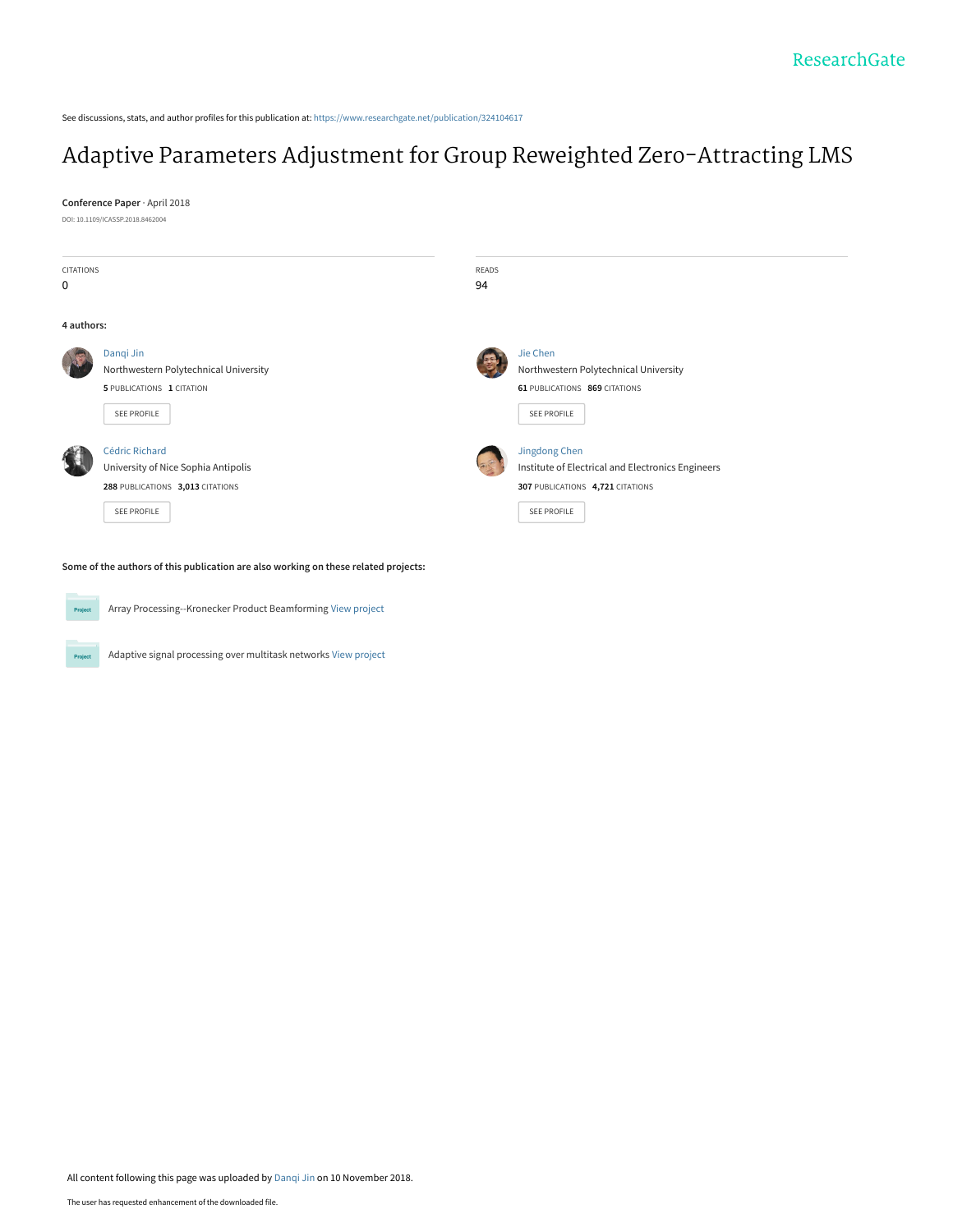See discussions, stats, and author profiles for this publication at: [https://www.researchgate.net/publication/324104617](https://www.researchgate.net/publication/324104617_Adaptive_Parameters_Adjustment_for_Group_Reweighted_Zero-Attracting_LMS?enrichId=rgreq-ee05a8cd0b51e936998960910542adae-XXX&enrichSource=Y292ZXJQYWdlOzMyNDEwNDYxNztBUzo2OTE0ODQ5MTU0MjUyODVAMTU0MTg3NDI1OTk3MA%3D%3D&el=1_x_2&_esc=publicationCoverPdf)

# [Adaptive Parameters Adjustment for Group Reweighted Zero-Attracting LMS](https://www.researchgate.net/publication/324104617_Adaptive_Parameters_Adjustment_for_Group_Reweighted_Zero-Attracting_LMS?enrichId=rgreq-ee05a8cd0b51e936998960910542adae-XXX&enrichSource=Y292ZXJQYWdlOzMyNDEwNDYxNztBUzo2OTE0ODQ5MTU0MjUyODVAMTU0MTg3NDI1OTk3MA%3D%3D&el=1_x_3&_esc=publicationCoverPdf)

**Conference Paper** · April 2018 DOI: 10.1109/ICASSP.2018.8462004



**Some of the authors of this publication are also working on these related projects:**

Array Processing--Kronecker Product Beamforming [View project](https://www.researchgate.net/project/Array-Processing--Kronecker-Product-Beamforming?enrichId=rgreq-ee05a8cd0b51e936998960910542adae-XXX&enrichSource=Y292ZXJQYWdlOzMyNDEwNDYxNztBUzo2OTE0ODQ5MTU0MjUyODVAMTU0MTg3NDI1OTk3MA%3D%3D&el=1_x_9&_esc=publicationCoverPdf) Project

Adaptive signal processing over multitask networks [View project](https://www.researchgate.net/project/Adaptive-signal-processing-over-multitask-networks?enrichId=rgreq-ee05a8cd0b51e936998960910542adae-XXX&enrichSource=Y292ZXJQYWdlOzMyNDEwNDYxNztBUzo2OTE0ODQ5MTU0MjUyODVAMTU0MTg3NDI1OTk3MA%3D%3D&el=1_x_9&_esc=publicationCoverPdf) Proje

All content following this page was uploaded by [Danqi Jin](https://www.researchgate.net/profile/Danqi_Jin?enrichId=rgreq-ee05a8cd0b51e936998960910542adae-XXX&enrichSource=Y292ZXJQYWdlOzMyNDEwNDYxNztBUzo2OTE0ODQ5MTU0MjUyODVAMTU0MTg3NDI1OTk3MA%3D%3D&el=1_x_10&_esc=publicationCoverPdf) on 10 November 2018.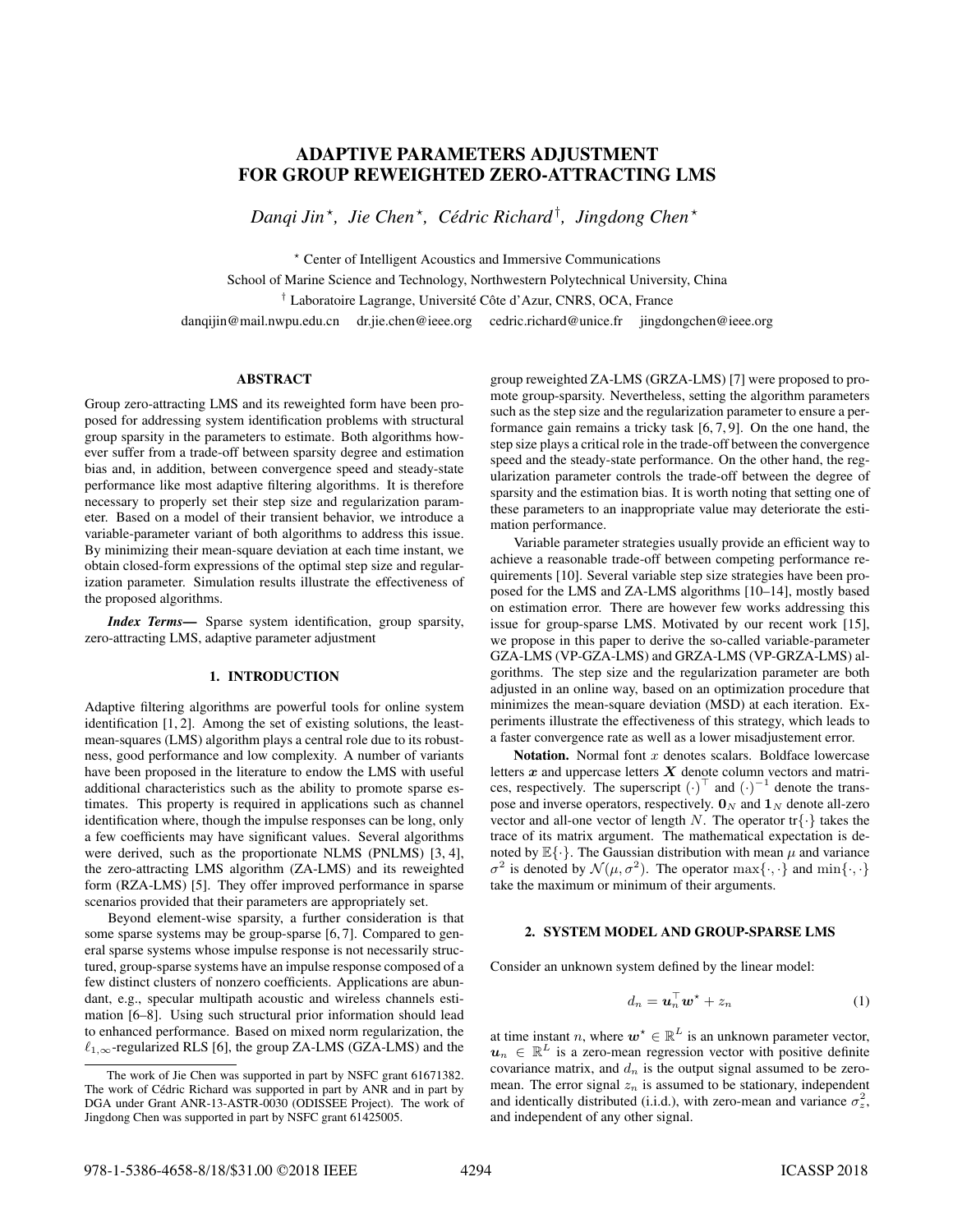# ADAPTIVE PARAMETERS ADJUSTMENT FOR GROUP REWEIGHTED ZERO-ATTRACTING LMS

*Danqi Jin* ? *, Jie Chen* ? *, Cedric Richard ´* † *, Jingdong Chen* ?

? Center of Intelligent Acoustics and Immersive Communications

School of Marine Science and Technology, Northwestern Polytechnical University, China

† Laboratoire Lagrange, Université Côte d'Azur, CNRS, OCA, France

danqijin@mail.nwpu.edu.cn dr.jie.chen@ieee.org cedric.richard@unice.fr jingdongchen@ieee.org

# ABSTRACT

Group zero-attracting LMS and its reweighted form have been proposed for addressing system identification problems with structural group sparsity in the parameters to estimate. Both algorithms however suffer from a trade-off between sparsity degree and estimation bias and, in addition, between convergence speed and steady-state performance like most adaptive filtering algorithms. It is therefore necessary to properly set their step size and regularization parameter. Based on a model of their transient behavior, we introduce a variable-parameter variant of both algorithms to address this issue. By minimizing their mean-square deviation at each time instant, we obtain closed-form expressions of the optimal step size and regularization parameter. Simulation results illustrate the effectiveness of the proposed algorithms.

*Index Terms*— Sparse system identification, group sparsity, zero-attracting LMS, adaptive parameter adjustment

# 1. INTRODUCTION

Adaptive filtering algorithms are powerful tools for online system identification [1, 2]. Among the set of existing solutions, the leastmean-squares (LMS) algorithm plays a central role due to its robustness, good performance and low complexity. A number of variants have been proposed in the literature to endow the LMS with useful additional characteristics such as the ability to promote sparse estimates. This property is required in applications such as channel identification where, though the impulse responses can be long, only a few coefficients may have significant values. Several algorithms were derived, such as the proportionate NLMS (PNLMS) [3, 4], the zero-attracting LMS algorithm (ZA-LMS) and its reweighted form (RZA-LMS) [5]. They offer improved performance in sparse scenarios provided that their parameters are appropriately set.

Beyond element-wise sparsity, a further consideration is that some sparse systems may be group-sparse [6, 7]. Compared to general sparse systems whose impulse response is not necessarily structured, group-sparse systems have an impulse response composed of a few distinct clusters of nonzero coefficients. Applications are abundant, e.g., specular multipath acoustic and wireless channels estimation [6–8]. Using such structural prior information should lead to enhanced performance. Based on mixed norm regularization, the  $\ell_{1,\infty}$ -regularized RLS [6], the group ZA-LMS (GZA-LMS) and the

group reweighted ZA-LMS (GRZA-LMS) [7] were proposed to promote group-sparsity. Nevertheless, setting the algorithm parameters such as the step size and the regularization parameter to ensure a performance gain remains a tricky task [6, 7, 9]. On the one hand, the step size plays a critical role in the trade-off between the convergence speed and the steady-state performance. On the other hand, the regularization parameter controls the trade-off between the degree of sparsity and the estimation bias. It is worth noting that setting one of these parameters to an inappropriate value may deteriorate the estimation performance.

Variable parameter strategies usually provide an efficient way to achieve a reasonable trade-off between competing performance requirements [10]. Several variable step size strategies have been proposed for the LMS and ZA-LMS algorithms [10–14], mostly based on estimation error. There are however few works addressing this issue for group-sparse LMS. Motivated by our recent work [15], we propose in this paper to derive the so-called variable-parameter GZA-LMS (VP-GZA-LMS) and GRZA-LMS (VP-GRZA-LMS) algorithms. The step size and the regularization parameter are both adjusted in an online way, based on an optimization procedure that minimizes the mean-square deviation (MSD) at each iteration. Experiments illustrate the effectiveness of this strategy, which leads to a faster convergence rate as well as a lower misadjustement error.

Notation. Normal font  $x$  denotes scalars. Boldface lowercase letters  $x$  and uppercase letters  $X$  denote column vectors and matrices, respectively. The superscript  $(\cdot)^{\top}$  and  $(\cdot)^{-1}$  denote the transpose and inverse operators, respectively.  $\mathbf{0}_N$  and  $\mathbf{1}_N$  denote all-zero vector and all-one vector of length N. The operator  $\text{tr}\{\cdot\}$  takes the trace of its matrix argument. The mathematical expectation is denoted by  $\mathbb{E}\{\cdot\}$ . The Gaussian distribution with mean  $\mu$  and variance  $\sigma^2$  is denoted by  $\mathcal{N}(\mu, \sigma^2)$ . The operator  $\max\{\cdot, \cdot\}$  and  $\min\{\cdot, \cdot\}$ take the maximum or minimum of their arguments.

### 2. SYSTEM MODEL AND GROUP-SPARSE LMS

Consider an unknown system defined by the linear model:

$$
d_n = \boldsymbol{u}_n^\top \boldsymbol{w}^\star + z_n \tag{1}
$$

at time instant n, where  $w^* \in \mathbb{R}^L$  is an unknown parameter vector,  $u_n \in \mathbb{R}^L$  is a zero-mean regression vector with positive definite covariance matrix, and  $d_n$  is the output signal assumed to be zeromean. The error signal  $z_n$  is assumed to be stationary, independent and identically distributed (i.i.d.), with zero-mean and variance  $\sigma_z^2$ , and independent of any other signal.

The work of Jie Chen was supported in part by NSFC grant 61671382. The work of Cédric Richard was supported in part by ANR and in part by DGA under Grant ANR-13-ASTR-0030 (ODISSEE Project). The work of Jingdong Chen was supported in part by NSFC grant 61425005.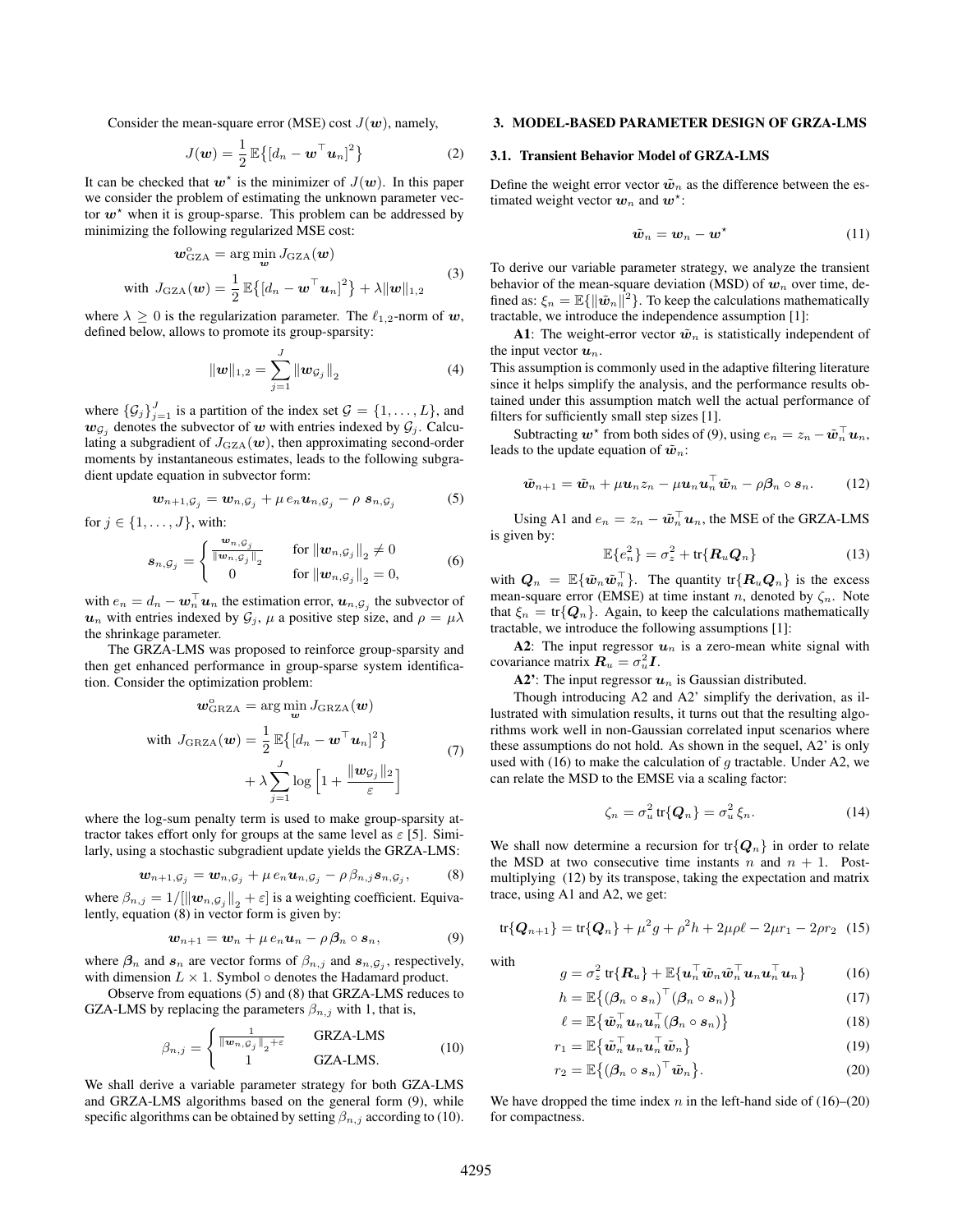Consider the mean-square error (MSE) cost  $J(\boldsymbol{w})$ , namely,

$$
J(\boldsymbol{w}) = \frac{1}{2} \mathbb{E}\left\{ \left[ d_n - \boldsymbol{w}^\top \boldsymbol{u}_n \right]^2 \right\}
$$
 (2)

It can be checked that  $w^*$  is the minimizer of  $J(w)$ . In this paper we consider the problem of estimating the unknown parameter vector  $w^*$  when it is group-sparse. This problem can be addressed by minimizing the following regularized MSE cost:

$$
\mathbf{w}_{\text{GZA}}^{\circ} = \arg\min_{\mathbf{w}} J_{\text{GZA}}(\mathbf{w})
$$
  
with  $J_{\text{GZA}}(\mathbf{w}) = \frac{1}{2} \mathbb{E}\{ [d_n - \mathbf{w}^{\top} \mathbf{u}_n]^2 \} + \lambda \|\mathbf{w}\|_{1,2}$  (3)

where  $\lambda \geq 0$  is the regularization parameter. The  $\ell_{1,2}$ -norm of w, defined below, allows to promote its group-sparsity:

$$
\|\mathbf{w}\|_{1,2} = \sum_{j=1}^{J} \|\mathbf{w}_{\mathcal{G}_j}\|_{2}
$$
 (4)

where  $\{\mathcal{G}_j\}_{j=1}^J$  is a partition of the index set  $\mathcal{G} = \{1, \ldots, L\}$ , and  $w_{\mathcal{G}_j}$  denotes the subvector of w with entries indexed by  $\mathcal{G}_j$ . Calculating a subgradient of  $J_{\text{GZA}}(\boldsymbol{w})$ , then approximating second-order moments by instantaneous estimates, leads to the following subgradient update equation in subvector form:

$$
\boldsymbol{w}_{n+1,\mathcal{G}_j} = \boldsymbol{w}_{n,\mathcal{G}_j} + \mu \, e_n \boldsymbol{u}_{n,\mathcal{G}_j} - \rho \, \boldsymbol{s}_{n,\mathcal{G}_j} \tag{5}
$$

for  $j \in \{1, \ldots, J\}$ , with:

$$
\boldsymbol{s}_{n,\mathcal{G}_j} = \begin{cases} \frac{\boldsymbol{w}_{n,\mathcal{G}_j}}{\|\boldsymbol{w}_{n,\mathcal{G}_j}\|_2} & \text{for } \|\boldsymbol{w}_{n,\mathcal{G}_j}\|_2 \neq 0\\ 0 & \text{for } \|\boldsymbol{w}_{n,\mathcal{G}_j}\|_2 = 0, \end{cases}
$$
(6)

with  $e_n = d_n - \boldsymbol{w}_n^{\top} \boldsymbol{u}_n$  the estimation error,  $\boldsymbol{u}_{n,G_j}$  the subvector of  $u_n$  with entries indexed by  $\mathcal{G}_j$ ,  $\mu$  a positive step size, and  $\rho = \mu \lambda$ the shrinkage parameter.

The GRZA-LMS was proposed to reinforce group-sparsity and then get enhanced performance in group-sparse system identification. Consider the optimization problem:

o

$$
\mathbf{w}_{\text{GRZA}}^{\circ} = \arg \min_{\mathbf{w}} J_{\text{GRZA}}(\mathbf{w})
$$
  
with  $J_{\text{GRZA}}(\mathbf{w}) = \frac{1}{2} \mathbb{E} \{ [d_n - \mathbf{w}^{\top} \mathbf{u}_n]^2 \}$   

$$
+ \lambda \sum_{j=1}^{J} \log \left[ 1 + \frac{\|\mathbf{w}_{\mathcal{G}_j}\|_2}{\varepsilon} \right]
$$
(7)

where the log-sum penalty term is used to make group-sparsity attractor takes effort only for groups at the same level as  $\varepsilon$  [5]. Similarly, using a stochastic subgradient update yields the GRZA-LMS:

$$
\boldsymbol{w}_{n+1,\mathcal{G}_j} = \boldsymbol{w}_{n,\mathcal{G}_j} + \mu \, e_n \boldsymbol{u}_{n,\mathcal{G}_j} - \rho \, \beta_{n,j} \boldsymbol{s}_{n,\mathcal{G}_j},\tag{8}
$$

where  $\beta_{n,j} = 1/[\|\boldsymbol{w}_{n,G_j}\|_2 + \varepsilon]$  is a weighting coefficient. Equivalently, equation (8) in vector form is given by:

$$
\boldsymbol{w}_{n+1} = \boldsymbol{w}_n + \mu \, e_n \boldsymbol{u}_n - \rho \, \boldsymbol{\beta}_n \circ \boldsymbol{s}_n, \tag{9}
$$

where  $\beta_n$  and  $s_n$  are vector forms of  $\beta_{n,j}$  and  $s_{n,\mathcal{G}_j}$ , respectively, with dimension  $L \times 1$ . Symbol  $\circ$  denotes the Hadamard product.

Observe from equations (5) and (8) that GRZA-LMS reduces to GZA-LMS by replacing the parameters  $\beta_{n,j}$  with 1, that is,

$$
\beta_{n,j} = \begin{cases} \frac{1}{\|\mathbf{w}_{n,\mathcal{G}_j}\|_2 + \varepsilon} & \text{GRZA-LMS} \\ 1 & \text{GZA-LMS.} \end{cases}
$$
(10)

We shall derive a variable parameter strategy for both GZA-LMS and GRZA-LMS algorithms based on the general form (9), while specific algorithms can be obtained by setting  $\beta_{n,j}$  according to (10).

#### 3. MODEL-BASED PARAMETER DESIGN OF GRZA-LMS

#### 3.1. Transient Behavior Model of GRZA-LMS

Define the weight error vector  $\tilde{w}_n$  as the difference between the estimated weight vector  $w_n$  and  $w^*$ :

$$
\tilde{\boldsymbol{w}}_n = \boldsymbol{w}_n - \boldsymbol{w}^\star \tag{11}
$$

To derive our variable parameter strategy, we analyze the transient behavior of the mean-square deviation (MSD) of  $w_n$  over time, defined as:  $\xi_n = \mathbb{E}\{\|\tilde{\boldsymbol{w}}_n\|^2\}$ . To keep the calculations mathematically tractable, we introduce the independence assumption [1]:

A1: The weight-error vector  $\tilde{w}_n$  is statistically independent of the input vector  $u_n$ .

This assumption is commonly used in the adaptive filtering literature since it helps simplify the analysis, and the performance results obtained under this assumption match well the actual performance of filters for sufficiently small step sizes [1].

Subtracting  $\boldsymbol{w}^\star$  from both sides of (9), using  $e_n = z_n - \tilde{\boldsymbol{w}}_n^\top \boldsymbol{u}_n$ , leads to the update equation of  $\tilde{w}_n$ :

$$
\tilde{\boldsymbol{w}}_{n+1} = \tilde{\boldsymbol{w}}_n + \mu \boldsymbol{u}_n z_n - \mu \boldsymbol{u}_n \boldsymbol{u}_n^\top \tilde{\boldsymbol{w}}_n - \rho \boldsymbol{\beta}_n \circ \boldsymbol{s}_n. \qquad (12)
$$

Using A1 and  $e_n = z_n - \tilde{w}_n^{\top} u_n$ , the MSE of the GRZA-LMS is given by:

$$
\mathbb{E}\{e_n^2\} = \sigma_z^2 + \text{tr}\{\mathbf{R}_u \mathbf{Q}_n\} \tag{13}
$$

with  $Q_n = \mathbb{E}\{\tilde{\boldsymbol{w}}_n\tilde{\boldsymbol{w}}_n^{\top}\}.$  The quantity  $\text{tr}\{\boldsymbol{R}_u\boldsymbol{Q}_n\}$  is the excess mean-square error (EMSE) at time instant n, denoted by  $\zeta_n$ . Note that  $\xi_n = \text{tr}\{\mathbf{Q}_n\}$ . Again, to keep the calculations mathematically tractable, we introduce the following assumptions [1]:

A2: The input regressor  $u_n$  is a zero-mean white signal with covariance matrix  $\boldsymbol{R}_u = \sigma_u^2 \boldsymbol{I}$ .

A2': The input regressor  $u_n$  is Gaussian distributed.

Though introducing A2 and A2' simplify the derivation, as illustrated with simulation results, it turns out that the resulting algorithms work well in non-Gaussian correlated input scenarios where these assumptions do not hold. As shown in the sequel, A2' is only used with (16) to make the calculation of  $q$  tractable. Under A2, we can relate the MSD to the EMSE via a scaling factor:

$$
\zeta_n = \sigma_u^2 \operatorname{tr}\{\mathbf{Q}_n\} = \sigma_u^2 \,\xi_n. \tag{14}
$$

We shall now determine a recursion for  $\text{tr}\{\mathbf{Q}_n\}$  in order to relate the MSD at two consecutive time instants n and  $n + 1$ . Postmultiplying (12) by its transpose, taking the expectation and matrix trace, using A1 and A2, we get:

$$
\text{tr}\{\boldsymbol{Q}_{n+1}\} = \text{tr}\{\boldsymbol{Q}_n\} + \mu^2 g + \rho^2 h + 2\mu\rho\ell - 2\mu r_1 - 2\rho r_2 \tag{15}
$$

with

$$
g = \sigma_z^2 \operatorname{tr}\{\boldsymbol{R}_u\} + \mathbb{E}\{\boldsymbol{u}_n^\top \tilde{\boldsymbol{w}}_n \tilde{\boldsymbol{w}}_n^\top \boldsymbol{u}_n \boldsymbol{u}_n^\top \boldsymbol{u}_n\} \tag{16}
$$

$$
h = \mathbb{E}\big\{(\boldsymbol{\beta}_n \circ \boldsymbol{s}_n)^\top (\boldsymbol{\beta}_n \circ \boldsymbol{s}_n)\big\} \tag{17}
$$

$$
\ell = \mathbb{E}\big\{\tilde{\boldsymbol{w}}_n^\top \boldsymbol{u}_n \boldsymbol{u}_n^\top (\boldsymbol{\beta}_n \circ \boldsymbol{s}_n)\big\} \tag{18}
$$

$$
r_1 = \mathbb{E}\left\{\tilde{\boldsymbol{w}}_n^\top \boldsymbol{u}_n \boldsymbol{u}_n^\top \tilde{\boldsymbol{w}}_n\right\} \tag{19}
$$

$$
r_2 = \mathbb{E}\big\{(\boldsymbol{\beta}_n \circ \boldsymbol{s}_n)^\top \tilde{\boldsymbol{w}}_n\big\}.
$$
 (20)

We have dropped the time index  $n$  in the left-hand side of (16)–(20) for compactness.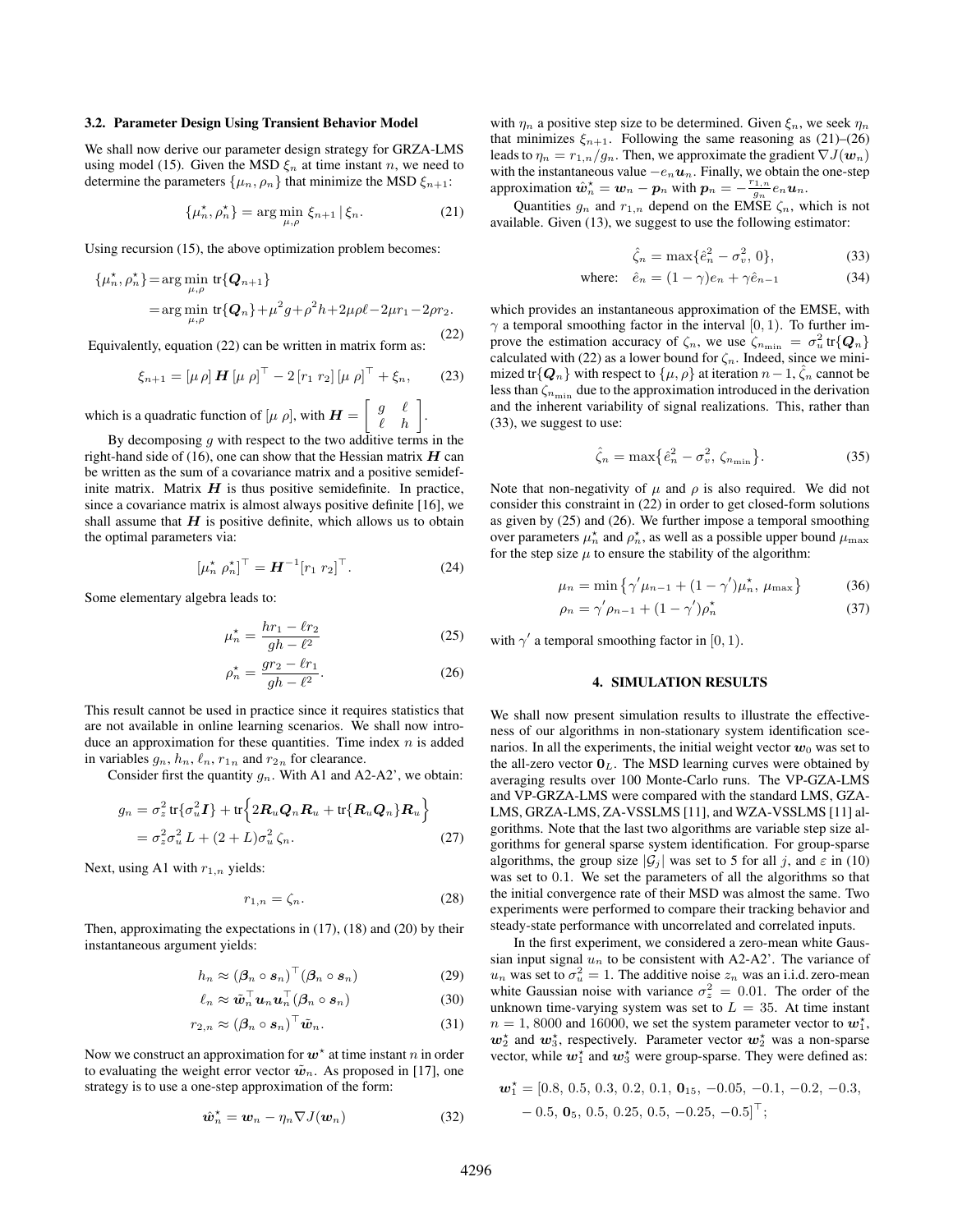#### 3.2. Parameter Design Using Transient Behavior Model

We shall now derive our parameter design strategy for GRZA-LMS using model (15). Given the MSD  $\xi_n$  at time instant n, we need to determine the parameters  $\{\mu_n, \rho_n\}$  that minimize the MSD  $\xi_{n+1}$ :

$$
\{\mu_n^{\star}, \rho_n^{\star}\} = \arg\min_{\mu,\rho} \xi_{n+1} \,|\,\xi_n. \tag{21}
$$

Using recursion (15), the above optimization problem becomes:

$$
\{\mu_n^*, \rho_n^*\} = \arg\min_{\mu, \rho} \, \text{tr}\{\boldsymbol{Q}_{n+1}\}
$$
  
= 
$$
\arg\min_{\mu, \rho} \, \text{tr}\{\boldsymbol{Q}_n\} + \mu^2 g + \rho^2 h + 2\mu\rho\ell - 2\mu r_1 - 2\rho r_2.
$$

(22) Equivalently, equation (22) can be written in matrix form as:

$$
\xi_{n+1} = [\mu \rho] \, \bm{H} \, [\mu \, \rho]^\top - 2 \, [r_1 \, r_2] \, [\mu \, \rho]^\top + \xi_n, \qquad (23)
$$

which is a quadratic function of  $[\mu \rho]$ , with  $\boldsymbol{H} = \begin{bmatrix} g & \ell \\ \ell & h \end{bmatrix}$ .

By decomposing  $g$  with respect to the two additive terms in the right-hand side of (16), one can show that the Hessian matrix  $H$  can be written as the sum of a covariance matrix and a positive semidefinite matrix. Matrix  $H$  is thus positive semidefinite. In practice, since a covariance matrix is almost always positive definite [16], we shall assume that  $H$  is positive definite, which allows us to obtain the optimal parameters via:

$$
\left[\mu_n^{\star} \ \rho_n^{\star}\right]^{\top} = \boldsymbol{H}^{-1} \left[r_1 \ r_2\right]^{\top} . \tag{24}
$$

Some elementary algebra leads to:

$$
\mu_n^* = \frac{hr_1 - \ell r_2}{gh - \ell^2} \tag{25}
$$

$$
\rho_n^* = \frac{gr_2 - \ell r_1}{gh - \ell^2}.
$$
\n(26)

This result cannot be used in practice since it requires statistics that are not available in online learning scenarios. We shall now introduce an approximation for these quantities. Time index  $n$  is added in variables  $g_n, h_n, \ell_n, r_{1n}$  and  $r_{2n}$  for clearance.

Consider first the quantity  $q_n$ . With A1 and A2-A2', we obtain:

$$
g_n = \sigma_z^2 \operatorname{tr} \{ \sigma_u^2 \mathbf{I} \} + \operatorname{tr} \{ 2 \mathbf{R}_u \mathbf{Q}_n \mathbf{R}_u + \operatorname{tr} \{ \mathbf{R}_u \mathbf{Q}_n \} \mathbf{R}_u \}
$$
  
=  $\sigma_z^2 \sigma_u^2 L + (2 + L) \sigma_u^2 \zeta_n$ . (27)

Next, using A1 with  $r_{1,n}$  yields:

$$
r_{1,n} = \zeta_n. \tag{28}
$$

Then, approximating the expectations in (17), (18) and (20) by their instantaneous argument yields:

$$
h_n \approx (\boldsymbol{\beta}_n \circ \boldsymbol{s}_n)^\top (\boldsymbol{\beta}_n \circ \boldsymbol{s}_n) \tag{29}
$$

$$
\ell_n \approx \tilde{\boldsymbol{w}}_n^\top \boldsymbol{u}_n \boldsymbol{u}_n^\top (\boldsymbol{\beta}_n \circ \boldsymbol{s}_n) \tag{30}
$$

$$
r_{2,n} \approx (\boldsymbol{\beta}_n \circ \boldsymbol{s}_n)^\top \tilde{\boldsymbol{w}}_n. \tag{31}
$$

Now we construct an approximation for  $w^*$  at time instant n in order to evaluating the weight error vector  $\tilde{w}_n$ . As proposed in [17], one strategy is to use a one-step approximation of the form:

$$
\hat{\boldsymbol{w}}_n^{\star} = \boldsymbol{w}_n - \eta_n \nabla J(\boldsymbol{w}_n) \tag{32}
$$

with  $\eta_n$  a positive step size to be determined. Given  $\xi_n$ , we seek  $\eta_n$ that minimizes  $\xi_{n+1}$ . Following the same reasoning as (21)–(26) leads to  $\eta_n = r_{1,n}/g_n$ . Then, we approximate the gradient  $\nabla J(\boldsymbol{w}_n)$ with the instantaneous value  $-e_nu_n$ . Finally, we obtain the one-step approximation  $\hat{\boldsymbol{w}}_n^* = \boldsymbol{w}_n - \boldsymbol{p}_n$  with  $\boldsymbol{p}_n = -\frac{r_{1,n}}{g_n} e_n \boldsymbol{u}_n$ .

Quantities  $g_n$  and  $r_{1,n}$  depend on the EMSE  $\zeta_n$ , which is not available. Given (13), we suggest to use the following estimator:

$$
\hat{\zeta}_n = \max\{\hat{e}_n^2 - \sigma_v^2, 0\},\tag{33}
$$

where: 
$$
\hat{e}_n = (1 - \gamma)e_n + \gamma \hat{e}_{n-1}
$$
 (34)

which provides an instantaneous approximation of the EMSE, with  $\gamma$  a temporal smoothing factor in the interval [0, 1). To further improve the estimation accuracy of  $\zeta_n$ , we use  $\zeta_{n_{\min}} = \sigma_u^2 \text{ tr}\{\mathbf{Q}_n\}$ calculated with (22) as a lower bound for  $\zeta_n$ . Indeed, since we minimized tr $\{Q_n\}$  with respect to  $\{\mu, \rho\}$  at iteration  $n-1$ ,  $\hat{\zeta}_n$  cannot be less than  $\zeta_{n_{\text{min}}}$  due to the approximation introduced in the derivation and the inherent variability of signal realizations. This, rather than (33), we suggest to use:

$$
\hat{\zeta}_n = \max\left\{\hat{e}_n^2 - \sigma_v^2, \zeta_{n_{\min}}\right\}.
$$
\n(35)

Note that non-negativity of  $\mu$  and  $\rho$  is also required. We did not consider this constraint in (22) in order to get closed-form solutions as given by (25) and (26). We further impose a temporal smoothing over parameters  $\mu_n^*$  and  $\rho_n^*$ , as well as a possible upper bound  $\mu_{\max}$ for the step size  $\mu$  to ensure the stability of the algorithm:

$$
\mu_n = \min \{ \gamma' \mu_{n-1} + (1 - \gamma') \mu_n^*, \mu_{\max} \} \tag{36}
$$

$$
\rho_n = \gamma' \rho_{n-1} + (1 - \gamma') \rho_n^* \tag{37}
$$

with  $\gamma'$  a temporal smoothing factor in [0, 1).

#### 4. SIMULATION RESULTS

We shall now present simulation results to illustrate the effectiveness of our algorithms in non-stationary system identification scenarios. In all the experiments, the initial weight vector  $w_0$  was set to the all-zero vector  $\mathbf{0}_L$ . The MSD learning curves were obtained by averaging results over 100 Monte-Carlo runs. The VP-GZA-LMS and VP-GRZA-LMS were compared with the standard LMS, GZA-LMS, GRZA-LMS, ZA-VSSLMS [11], and WZA-VSSLMS [11] algorithms. Note that the last two algorithms are variable step size algorithms for general sparse system identification. For group-sparse algorithms, the group size  $|\mathcal{G}_j|$  was set to 5 for all j, and  $\varepsilon$  in (10) was set to 0.1. We set the parameters of all the algorithms so that the initial convergence rate of their MSD was almost the same. Two experiments were performed to compare their tracking behavior and steady-state performance with uncorrelated and correlated inputs.

In the first experiment, we considered a zero-mean white Gaussian input signal  $u_n$  to be consistent with A2-A2'. The variance of  $u_n$  was set to  $\sigma_u^2 = 1$ . The additive noise  $z_n$  was an i.i.d. zero-mean white Gaussian noise with variance  $\sigma_z^2 = 0.01$ . The order of the unknown time-varying system was set to  $L = 35$ . At time instant  $n = 1,8000$  and 16000, we set the system parameter vector to  $w_1^*$ ,  $w_2^*$  and  $w_3^*$ , respectively. Parameter vector  $w_2^*$  was a non-sparse vector, while  $w_1^*$  and  $w_3^*$  were group-sparse. They were defined as:

$$
\boldsymbol{w}_1^* = [0.8, 0.5, 0.3, 0.2, 0.1, \mathbf{0}_{15}, -0.05, -0.1, -0.2, -0.3, -0.5, \mathbf{0}_{5}, 0.5, 0.25, 0.5, -0.25, -0.5]^{\top};
$$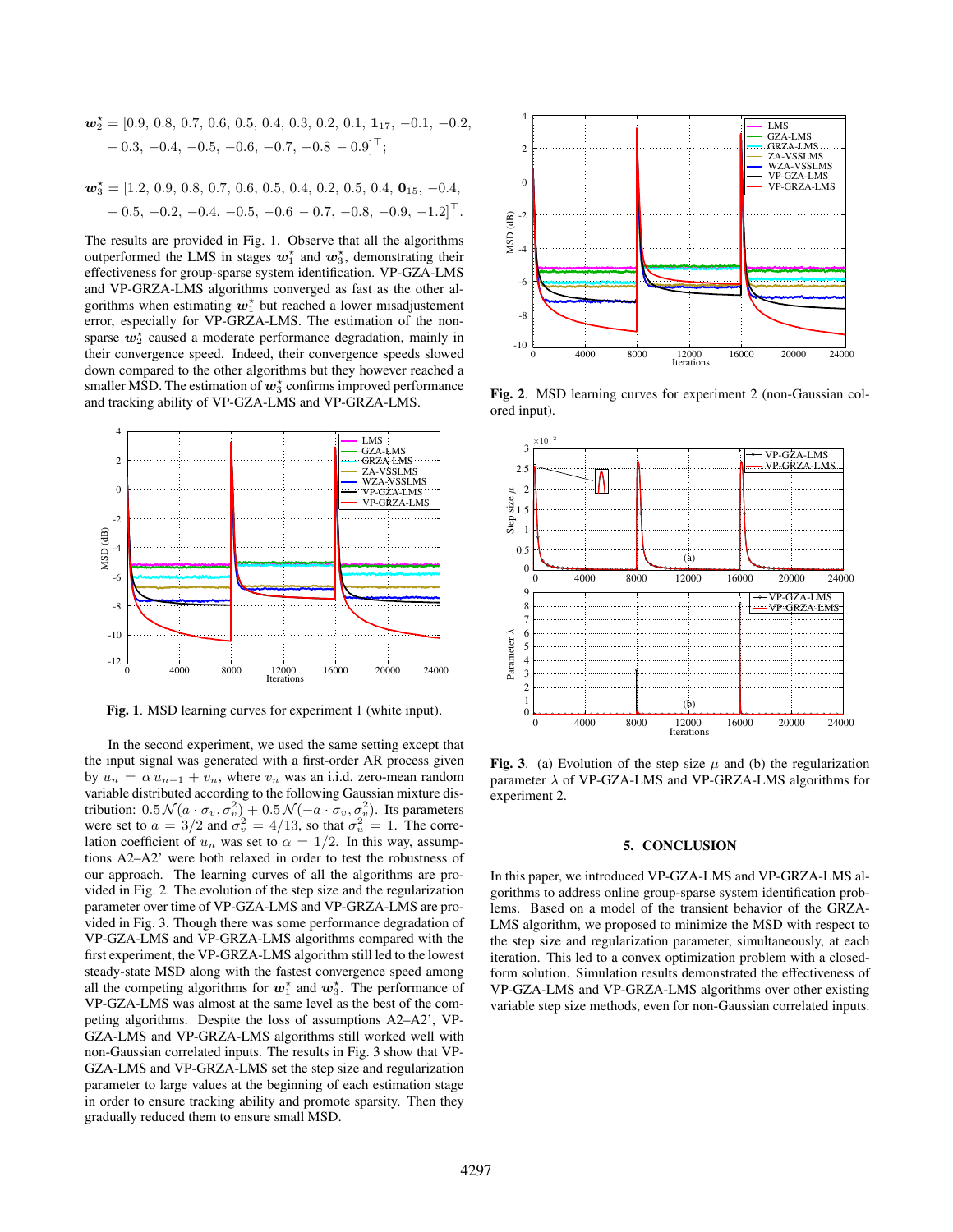$$
\mathbf{w}_2^* = [0.9, 0.8, 0.7, 0.6, 0.5, 0.4, 0.3, 0.2, 0.1, 1_{17}, -0.1, -0.2, -0.3, -0.4, -0.5, -0.6, -0.7, -0.8 - 0.9]^\top;
$$

$$
\mathbf{w}_3^* = [1.2, 0.9, 0.8, 0.7, 0.6, 0.5, 0.4, 0.2, 0.5, 0.4, \mathbf{0}_{15}, -0.4, -0.5, -0.2, -0.4, -0.5, -0.6, -0.7, -0.8, -0.9, -1.2]^\top.
$$

The results are provided in Fig. 1. Observe that all the algorithms outperformed the LMS in stages  $w_1^*$  and  $w_3^*$ , demonstrating their effectiveness for group-sparse system identification. VP-GZA-LMS and VP-GRZA-LMS algorithms converged as fast as the other algorithms when estimating  $w_1^*$  but reached a lower misadjustement error, especially for VP-GRZA-LMS. The estimation of the nonsparse  $w_2^{\star}$  caused a moderate performance degradation, mainly in their convergence speed. Indeed, their convergence speeds slowed down compared to the other algorithms but they however reached a smaller MSD. The estimation of  $w_3^*$  confirms improved performance and tracking ability of VP-GZA-LMS and VP-GRZA-LMS.



Fig. 1. MSD learning curves for experiment 1 (white input).

In the second experiment, we used the same setting except that the input signal was generated with a first-order AR process given by  $u_n = \alpha u_{n-1} + v_n$ , where  $v_n$  was an i.i.d. zero-mean random variable distributed according to the following Gaussian mixture distribution:  $0.5\mathcal{N}(a \cdot \sigma_v, \sigma_v^2) + 0.5\mathcal{N}(-a \cdot \sigma_v, \sigma_v^2)$ . Its parameters were set to  $a = 3/2$  and  $\sigma_v^2 = 4/13$ , so that  $\sigma_u^2 = 1$ . The correlation coefficient of  $u_n$  was set to  $\alpha = 1/2$ . In this way, assumptions A2–A2' were both relaxed in order to test the robustness of our approach. The learning curves of all the algorithms are provided in Fig. 2. The evolution of the step size and the regularization parameter over time of VP-GZA-LMS and VP-GRZA-LMS are provided in Fig. 3. Though there was some performance degradation of VP-GZA-LMS and VP-GRZA-LMS algorithms compared with the first experiment, the VP-GRZA-LMS algorithm still led to the lowest steady-state MSD along with the fastest convergence speed among all the competing algorithms for  $w_1^*$  and  $w_3^*$ . The performance of VP-GZA-LMS was almost at the same level as the best of the competing algorithms. Despite the loss of assumptions A2–A2', VP-GZA-LMS and VP-GRZA-LMS algorithms still worked well with non-Gaussian correlated inputs. The results in Fig. 3 show that VP-GZA-LMS and VP-GRZA-LMS set the step size and regularization parameter to large values at the beginning of each estimation stage in order to ensure tracking ability and promote sparsity. Then they gradually reduced them to ensure small MSD.



Fig. 2. MSD learning curves for experiment 2 (non-Gaussian colored input).



Fig. 3. (a) Evolution of the step size  $\mu$  and (b) the regularization parameter  $\lambda$  of VP-GZA-LMS and VP-GRZA-LMS algorithms for experiment 2.

# 5. CONCLUSION

In this paper, we introduced VP-GZA-LMS and VP-GRZA-LMS algorithms to address online group-sparse system identification problems. Based on a model of the transient behavior of the GRZA-LMS algorithm, we proposed to minimize the MSD with respect to the step size and regularization parameter, simultaneously, at each iteration. This led to a convex optimization problem with a closedform solution. Simulation results demonstrated the effectiveness of VP-GZA-LMS and VP-GRZA-LMS algorithms over other existing variable step size methods, even for non-Gaussian correlated inputs.